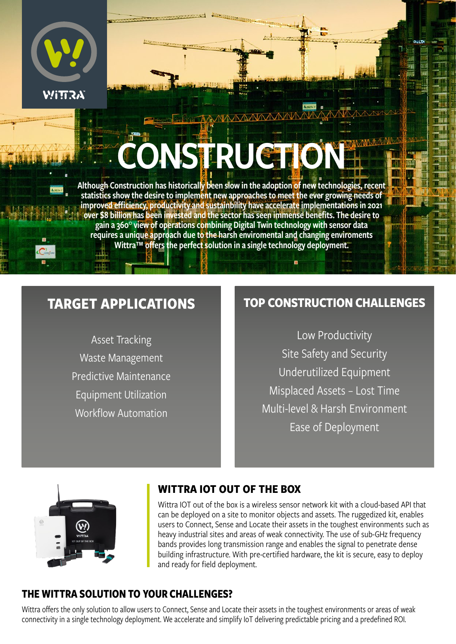

# **CONSTRUCTIO**

Although Construction has historicall<mark>y</mark> been slow in the adoption of new technologies, recent statistics show the desire to implement new approaches to meet the ever growing needs of improved efficiency, productivity and sustainbility have accelerate implementations in 2021 over \$8 billion has been invested and the sector has seen immense benefits. The desire to gain a 360° view of operations combining Digital Twin technology with sensor data requires a unique approach due to the harsh enviromental and changing enviroments Wittra™ offers the perfect solution in a single technology deployment.

# **TARGET APPLICATIONS**

Asset Tracking Waste Management Predictive Maintenance Equipment Utilization Workflow Automation

## **TOP CONSTRUCTION CHALLENGES**

Low Productivity Site Safety and Security Underutilized Equipment Misplaced Assets – Lost Time Multi-level & Harsh Environment Ease of Deployment



#### **WITTRA IOT OUT OF THE BOX**

Wittra IOT out of the box is a wireless sensor network kit with a cloud-based API that can be deployed on a site to monitor objects and assets. The ruggedized kit, enables users to Connect, Sense and Locate their assets in the toughest environments such as heavy industrial sites and areas of weak connectivity. The use of sub-GHz frequency bands provides long transmission range and enables the signal to penetrate dense building infrastructure. With pre-certified hardware, the kit is secure, easy to deploy and ready for field deployment.

#### **THE WITTRA SOLUTION TO YOUR CHALLENGES?**

Wittra offers the only solution to allow users to Connect, Sense and Locate their assets in the toughest environments or areas of weak connectivity in a single technology deployment. We accelerate and simplify IoT delivering predictable pricing and a predefined ROI.